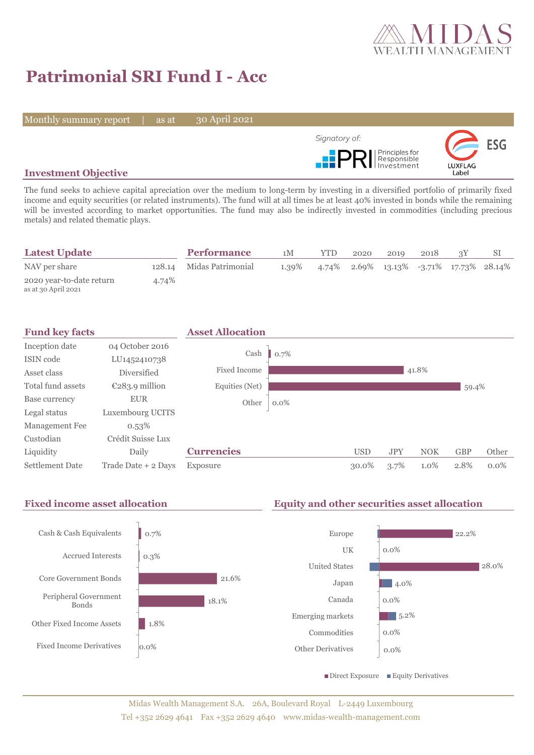

# **Patrimonial SRI Fund I - Acc**

Monthly summary report | as at

30 April 2021



## **Investment Objective**

The fund seeks to achieve capital apreciation over the medium to long-term by investing in a diversified portfolio of primarily fixed income and equity securities (or related instruments). The fund will at all times be at least 40% invested in bonds while the remaining will be invested according to market opportunities. The fund may also be indirectly invested in commodities (including precious metals) and related thematic plays.

| <b>Latest Update</b>                            |       | <b>Performance</b>       | 1M    | <b>YTD</b> | 2020 | 2019                                    | 2018 |  |
|-------------------------------------------------|-------|--------------------------|-------|------------|------|-----------------------------------------|------|--|
| NAV per share                                   |       | 128.14 Midas Patrimonial | 1.39% |            |      | 4.74% 2.69% 13.13% -3.71% 17.73% 28.14% |      |  |
| 2020 year-to-date return<br>as at 30 April 2021 | 4.74% |                          |       |            |      |                                         |      |  |



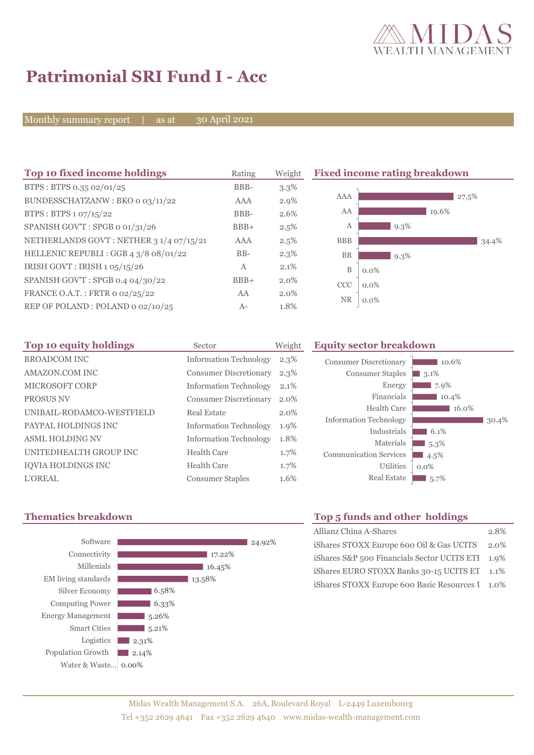

 $10.6%$ 

30.4%

**3.1%**  $\blacksquare$  7.9%  $10.4%$  $16.0\%$ 

 $6.1\%$  $\blacksquare$  5.3%  $\blacksquare$  4.5% 0.0% 5.7%

# **Patrimonial SRI Fund I - Acc**

Monthly summary report  $\overline{\phantom{a}}$  as at

30 April 2021

| Top 10 fixed income holdings            | Rating | Weight  |            | <b>Fixed income rating breakdown</b> |
|-----------------------------------------|--------|---------|------------|--------------------------------------|
| BTPS: BTPS 0.35 02/01/25                | BBB-   | $3.3\%$ |            |                                      |
| BUNDESSCHATZANW: BKO o 03/11/22         | AAA    | $2.9\%$ | AAA        | $27.5\%$                             |
| BTPS : BTPS $1.07/15/22$                | BBB-   | 2.6%    | AA         | 19.6%                                |
| SPANISH GOV'T: SPGB o 01/31/26          | $BBB+$ | 2.5%    | А          | 9.3%                                 |
| NETHERLANDS GOVT: NETHER 3 1/4 07/15/21 | AAA    | 2.5%    | <b>BBB</b> | 34.4%                                |
| HELLENIC REPUBLI : GGB 4 3/8 08/01/22   | $BB-$  | $2.3\%$ | <b>BB</b>  | $9.3\%$                              |
| IRISH GOVT: IRISH 1 05/15/26            | A      | 2.1%    | B          | $0.0\%$                              |
| SPANISH GOV'T: SPGB 0.4 04/30/22        | $BBB+$ | $2.0\%$ | CCC        | $0.0\%$                              |
| FRANCE O.A.T.: FRTR 0 02/25/22          | AA     | $2.0\%$ | <b>NR</b>  |                                      |
| REP OF POLAND: POLAND 0 02/10/25        | $A-$   | 1.8%    |            | $0.0\%$                              |

| Top 10 equity holdings    | Sector                        | Weight  | <b>Equity sector breakdown</b> |                  |
|---------------------------|-------------------------------|---------|--------------------------------|------------------|
| <b>BROADCOM INC</b>       | <b>Information Technology</b> | $2.3\%$ | <b>Consumer Discretionary</b>  |                  |
| <b>AMAZON.COM INC</b>     | Consumer Discretionary        | $2.3\%$ | <b>Consumer Staples</b>        | 3.1 <sup>6</sup> |
| <b>MICROSOFT CORP</b>     | <b>Information Technology</b> | $2.1\%$ | Energy                         |                  |
| <b>PROSUS NV</b>          | Consumer Discretionary        | 2.0%    | Financials                     |                  |
| UNIBAIL-RODAMCO-WESTFIELD | Real Estate                   | $2.0\%$ | Health Care                    |                  |
| PAYPAL HOLDINGS INC       | <b>Information Technology</b> | 1.9%    | <b>Information Technology</b>  |                  |
| <b>ASML HOLDING NV</b>    | <b>Information Technology</b> | 1.8%    | Industrials<br>Materials       | 6                |
| UNITEDHEALTH GROUP INC    | Health Care                   | $1.7\%$ | <b>Communication Services</b>  | 5.<br>4.5        |
| <b>IQVIA HOLDINGS INC</b> | <b>Health Care</b>            | 1.7%    | Utilities                      | $0.0\%$          |
| <b>L'OREAL</b>            | <b>Consumer Staples</b>       | 1.6%    | <b>Real Estate</b>             | - 5.             |

## **Thematics breakdown Top 5 funds and other holdings**



| <b>TOP 3 IGHUS ARE OLICE HORMILES</b>            |         |
|--------------------------------------------------|---------|
| Allianz China A-Shares                           | 2.8%    |
| iShares STOXX Europe 600 Oil & Gas UCITS 2.0%    |         |
| iShares S&P 500 Financials Sector UCITS ETI 1.9% |         |
| iShares EURO STOXX Banks 30-15 UCITS ET          | $1.1\%$ |
| iShares STOXX Europe 600 Basic Resources I 1.0%  |         |